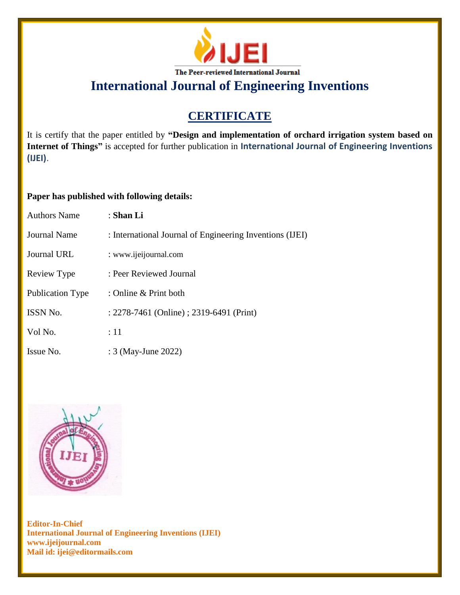

## **CERTIFICATE**

It is certify that the paper entitled by **"Design and implementation of orchard irrigation system based on Internet of Things"** is accepted for further publication in **International Journal of Engineering Inventions (IJEI)**.

### **Paper has published with following details:**

| <b>Authors Name</b> | : Shan Li                                                |
|---------------------|----------------------------------------------------------|
| Journal Name        | : International Journal of Engineering Inventions (IJEI) |
| Journal URL         | : www.ijeijournal.com                                    |
| Review Type         | : Peer Reviewed Journal                                  |
| Publication Type    | : Online & Print both                                    |
| <b>ISSN No.</b>     | : 2278-7461 (Online) ; 2319-6491 (Print)                 |
| Vol No.             | :11                                                      |
| Issue No.           | : 3 (May-June 2022)                                      |

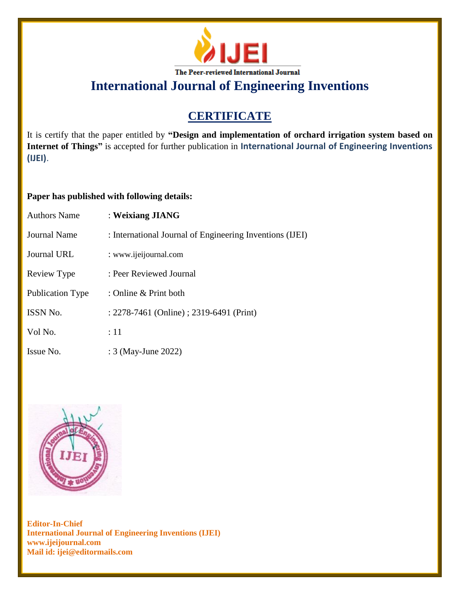

## **CERTIFICATE**

It is certify that the paper entitled by **"Design and implementation of orchard irrigation system based on Internet of Things"** is accepted for further publication in **International Journal of Engineering Inventions (IJEI)**.

### **Paper has published with following details:**

| <b>Authors Name</b>     | : Weixiang JIANG                                         |
|-------------------------|----------------------------------------------------------|
| Journal Name            | : International Journal of Engineering Inventions (IJEI) |
| Journal URL             | : www.ijeijournal.com                                    |
| Review Type             | : Peer Reviewed Journal                                  |
| <b>Publication Type</b> | : Online & Print both                                    |
| <b>ISSN No.</b>         | : 2278-7461 (Online) ; 2319-6491 (Print)                 |
| Vol No.                 | $\div 11$                                                |
| Issue No.               | : 3 (May-June 2022)                                      |

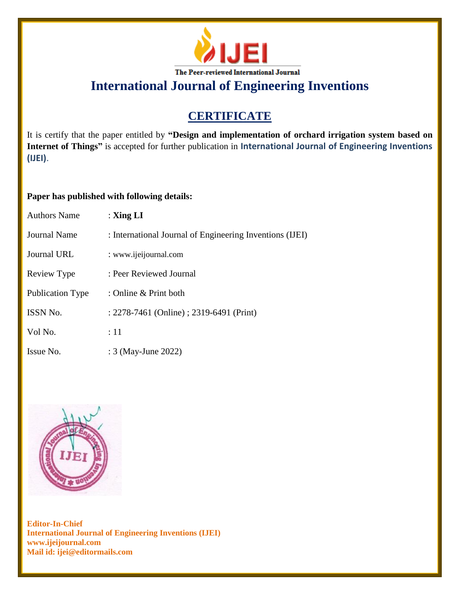

## **CERTIFICATE**

It is certify that the paper entitled by **"Design and implementation of orchard irrigation system based on Internet of Things"** is accepted for further publication in **International Journal of Engineering Inventions (IJEI)**.

### **Paper has published with following details:**

| <b>Authors Name</b> | : $\mathbf{Xing} \mathbf{LI}$                            |
|---------------------|----------------------------------------------------------|
| <b>Journal Name</b> | : International Journal of Engineering Inventions (IJEI) |
| Journal URL         | : www.ijeijournal.com                                    |
| Review Type         | : Peer Reviewed Journal                                  |
| Publication Type    | : Online & Print both                                    |
| <b>ISSN No.</b>     | : 2278-7461 (Online) ; 2319-6491 (Print)                 |
| Vol No.             | :11                                                      |
| Issue No.           | : 3 (May-June 2022)                                      |

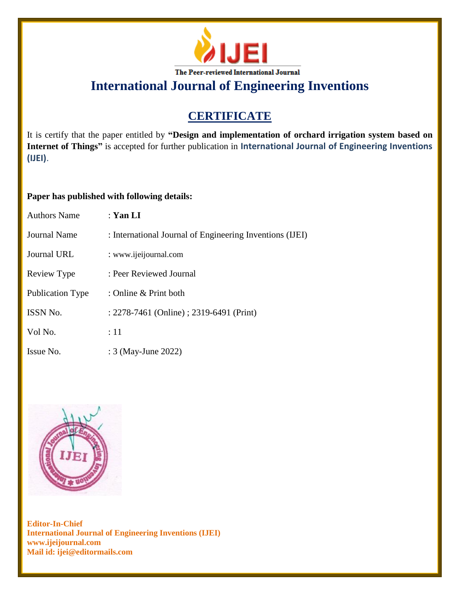

## **CERTIFICATE**

It is certify that the paper entitled by **"Design and implementation of orchard irrigation system based on Internet of Things"** is accepted for further publication in **International Journal of Engineering Inventions (IJEI)**.

### **Paper has published with following details:**

| <b>Authors Name</b>     | : Yan LI                                                 |
|-------------------------|----------------------------------------------------------|
| Journal Name            | : International Journal of Engineering Inventions (IJEI) |
| Journal URL             | : www.ijeijournal.com                                    |
| Review Type             | : Peer Reviewed Journal                                  |
| <b>Publication Type</b> | : Online & Print both                                    |
| ISSN No.                | : 2278-7461 (Online) ; 2319-6491 (Print)                 |
| Vol No.                 | :11                                                      |
| Issue No.               | : 3 (May-June 2022)                                      |

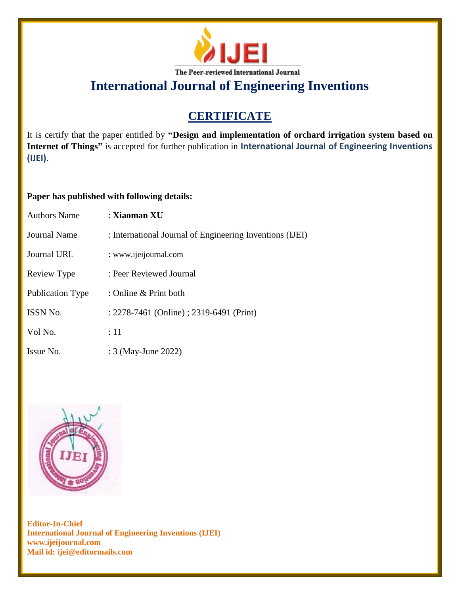

## **CERTIFICATE**

It is certify that the paper entitled by **"Design and implementation of orchard irrigation system based on Internet of Things"** is accepted for further publication in **International Journal of Engineering Inventions (IJEI)**.

### **Paper has published with following details:**

| <b>Authors Name</b>     | : Xiaoman XU                                             |
|-------------------------|----------------------------------------------------------|
| Journal Name            | : International Journal of Engineering Inventions (IJEI) |
| Journal URL             | : www.ijeijournal.com                                    |
| Review Type             | : Peer Reviewed Journal                                  |
| <b>Publication Type</b> | : Online & Print both                                    |
| ISSN No.                | : 2278-7461 (Online) ; 2319-6491 (Print)                 |
| Vol No.                 | :11                                                      |
| Issue No.               | : 3 (May-June 2022)                                      |